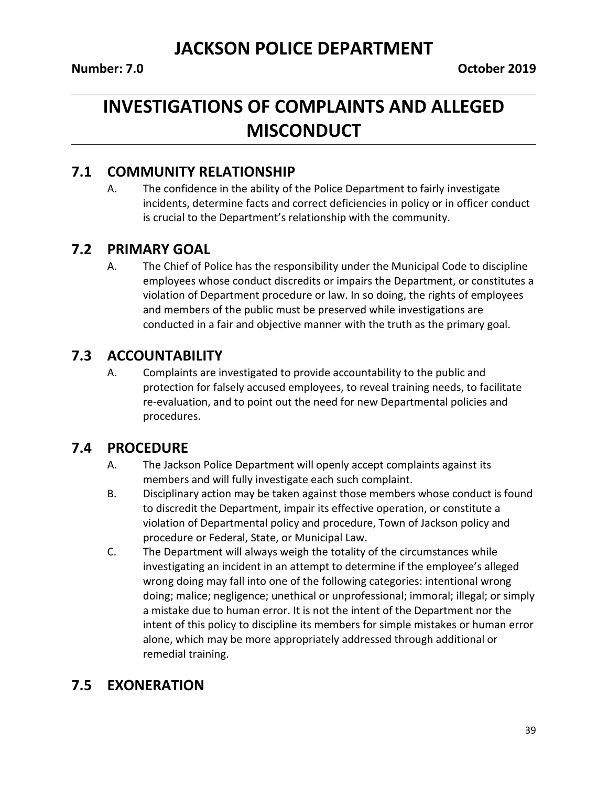# **INVESTIGATIONS OF COMPLAINTS AND ALLEGED MISCONDUCT**

#### **7.1 COMMUNITY RELATIONSHIP**

A. The confidence in the ability of the Police Department to fairly investigate incidents, determine facts and correct deficiencies in policy or in officer conduct is crucial to the Department's relationship with the community.

### **7.2 PRIMARY GOAL**

A. The Chief of Police has the responsibility under the Municipal Code to discipline employees whose conduct discredits or impairs the Department, or constitutes a violation of Department procedure or law. In so doing, the rights of employees and members of the public must be preserved while investigations are conducted in a fair and objective manner with the truth as the primary goal.

## **7.3 ACCOUNTABILITY**

A. Complaints are investigated to provide accountability to the public and protection for falsely accused employees, to reveal training needs, to facilitate re-evaluation, and to point out the need for new Departmental policies and procedures.

#### **7.4 PROCEDURE**

- A. The Jackson Police Department will openly accept complaints against its members and will fully investigate each such complaint.
- B. Disciplinary action may be taken against those members whose conduct is found to discredit the Department, impair its effective operation, or constitute a violation of Departmental policy and procedure, Town of Jackson policy and procedure or Federal, State, or Municipal Law.
- C. The Department will always weigh the totality of the circumstances while investigating an incident in an attempt to determine if the employee's alleged wrong doing may fall into one of the following categories: intentional wrong doing; malice; negligence; unethical or unprofessional; immoral; illegal; or simply a mistake due to human error. It is not the intent of the Department nor the intent of this policy to discipline its members for simple mistakes or human error alone, which may be more appropriately addressed through additional or remedial training.

## **7.5 EXONERATION**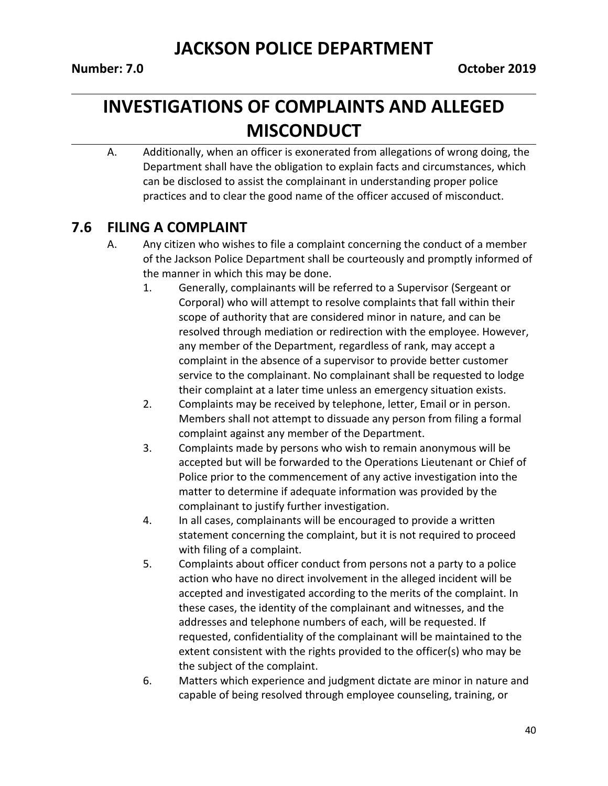## **INVESTIGATIONS OF COMPLAINTS AND ALLEGED MISCONDUCT**

A. Additionally, when an officer is exonerated from allegations of wrong doing, the Department shall have the obligation to explain facts and circumstances, which can be disclosed to assist the complainant in understanding proper police practices and to clear the good name of the officer accused of misconduct.

## **7.6 FILING A COMPLAINT**

- A. Any citizen who wishes to file a complaint concerning the conduct of a member of the Jackson Police Department shall be courteously and promptly informed of the manner in which this may be done.
	- 1. Generally, complainants will be referred to a Supervisor (Sergeant or Corporal) who will attempt to resolve complaints that fall within their scope of authority that are considered minor in nature, and can be resolved through mediation or redirection with the employee. However, any member of the Department, regardless of rank, may accept a complaint in the absence of a supervisor to provide better customer service to the complainant. No complainant shall be requested to lodge their complaint at a later time unless an emergency situation exists.
	- 2. Complaints may be received by telephone, letter, Email or in person. Members shall not attempt to dissuade any person from filing a formal complaint against any member of the Department.
	- 3. Complaints made by persons who wish to remain anonymous will be accepted but will be forwarded to the Operations Lieutenant or Chief of Police prior to the commencement of any active investigation into the matter to determine if adequate information was provided by the complainant to justify further investigation.
	- 4. In all cases, complainants will be encouraged to provide a written statement concerning the complaint, but it is not required to proceed with filing of a complaint.
	- 5. Complaints about officer conduct from persons not a party to a police action who have no direct involvement in the alleged incident will be accepted and investigated according to the merits of the complaint. In these cases, the identity of the complainant and witnesses, and the addresses and telephone numbers of each, will be requested. If requested, confidentiality of the complainant will be maintained to the extent consistent with the rights provided to the officer(s) who may be the subject of the complaint.
	- 6. Matters which experience and judgment dictate are minor in nature and capable of being resolved through employee counseling, training, or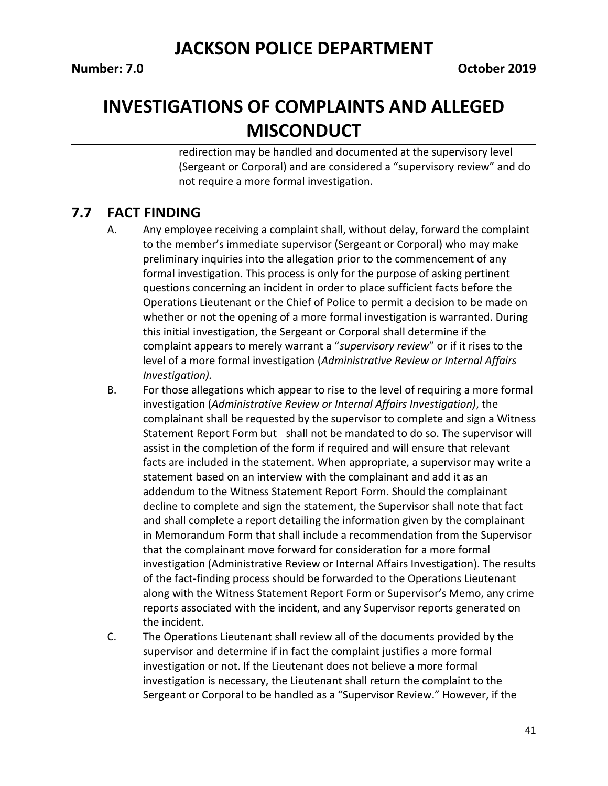## **INVESTIGATIONS OF COMPLAINTS AND ALLEGED MISCONDUCT**

redirection may be handled and documented at the supervisory level (Sergeant or Corporal) and are considered a "supervisory review" and do not require a more formal investigation.

### **7.7 FACT FINDING**

- A. Any employee receiving a complaint shall, without delay, forward the complaint to the member's immediate supervisor (Sergeant or Corporal) who may make preliminary inquiries into the allegation prior to the commencement of any formal investigation. This process is only for the purpose of asking pertinent questions concerning an incident in order to place sufficient facts before the Operations Lieutenant or the Chief of Police to permit a decision to be made on whether or not the opening of a more formal investigation is warranted. During this initial investigation, the Sergeant or Corporal shall determine if the complaint appears to merely warrant a "*supervisory review*" or if it rises to the level of a more formal investigation (*Administrative Review or Internal Affairs Investigation).*
- B. For those allegations which appear to rise to the level of requiring a more formal investigation (*Administrative Review or Internal Affairs Investigation)*, the complainant shall be requested by the supervisor to complete and sign a Witness Statement Report Form but shall not be mandated to do so. The supervisor will assist in the completion of the form if required and will ensure that relevant facts are included in the statement. When appropriate, a supervisor may write a statement based on an interview with the complainant and add it as an addendum to the Witness Statement Report Form. Should the complainant decline to complete and sign the statement, the Supervisor shall note that fact and shall complete a report detailing the information given by the complainant in Memorandum Form that shall include a recommendation from the Supervisor that the complainant move forward for consideration for a more formal investigation (Administrative Review or Internal Affairs Investigation). The results of the fact-finding process should be forwarded to the Operations Lieutenant along with the Witness Statement Report Form or Supervisor's Memo, any crime reports associated with the incident, and any Supervisor reports generated on the incident.
- C. The Operations Lieutenant shall review all of the documents provided by the supervisor and determine if in fact the complaint justifies a more formal investigation or not. If the Lieutenant does not believe a more formal investigation is necessary, the Lieutenant shall return the complaint to the Sergeant or Corporal to be handled as a "Supervisor Review." However, if the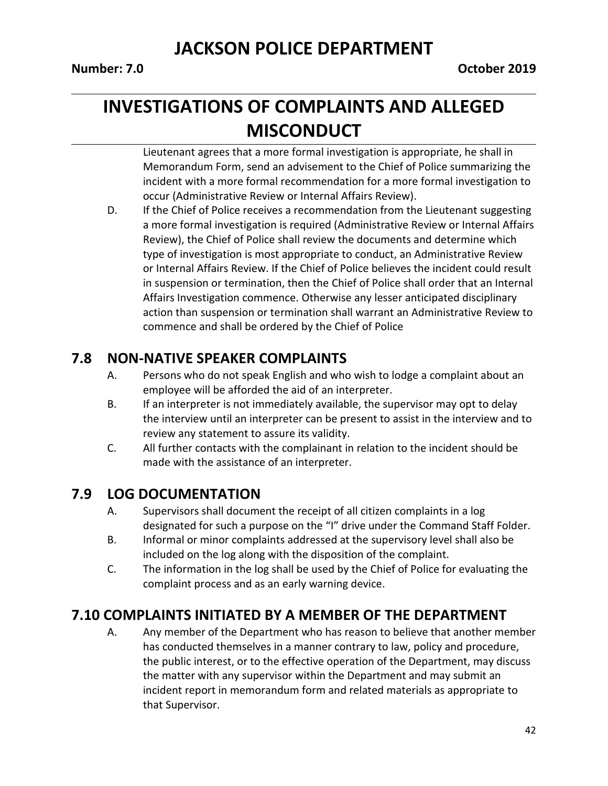42

## **JACKSON POLICE DEPARTMENT**

# **INVESTIGATIONS OF COMPLAINTS AND ALLEGED MISCONDUCT**

Lieutenant agrees that a more formal investigation is appropriate, he shall in Memorandum Form, send an advisement to the Chief of Police summarizing the incident with a more formal recommendation for a more formal investigation to occur (Administrative Review or Internal Affairs Review).

D. If the Chief of Police receives a recommendation from the Lieutenant suggesting a more formal investigation is required (Administrative Review or Internal Affairs Review), the Chief of Police shall review the documents and determine which type of investigation is most appropriate to conduct, an Administrative Review or Internal Affairs Review. If the Chief of Police believes the incident could result in suspension or termination, then the Chief of Police shall order that an Internal Affairs Investigation commence. Otherwise any lesser anticipated disciplinary action than suspension or termination shall warrant an Administrative Review to commence and shall be ordered by the Chief of Police

## **7.8 NON-NATIVE SPEAKER COMPLAINTS**

- A. Persons who do not speak English and who wish to lodge a complaint about an employee will be afforded the aid of an interpreter.
- B. If an interpreter is not immediately available, the supervisor may opt to delay the interview until an interpreter can be present to assist in the interview and to review any statement to assure its validity.
- C. All further contacts with the complainant in relation to the incident should be made with the assistance of an interpreter.

## **7.9 LOG DOCUMENTATION**

- A. Supervisors shall document the receipt of all citizen complaints in a log designated for such a purpose on the "I" drive under the Command Staff Folder.
- B. Informal or minor complaints addressed at the supervisory level shall also be included on the log along with the disposition of the complaint.
- C. The information in the log shall be used by the Chief of Police for evaluating the complaint process and as an early warning device.

## **7.10 COMPLAINTS INITIATED BY A MEMBER OF THE DEPARTMENT**

A. Any member of the Department who has reason to believe that another member has conducted themselves in a manner contrary to law, policy and procedure, the public interest, or to the effective operation of the Department, may discuss the matter with any supervisor within the Department and may submit an incident report in memorandum form and related materials as appropriate to that Supervisor.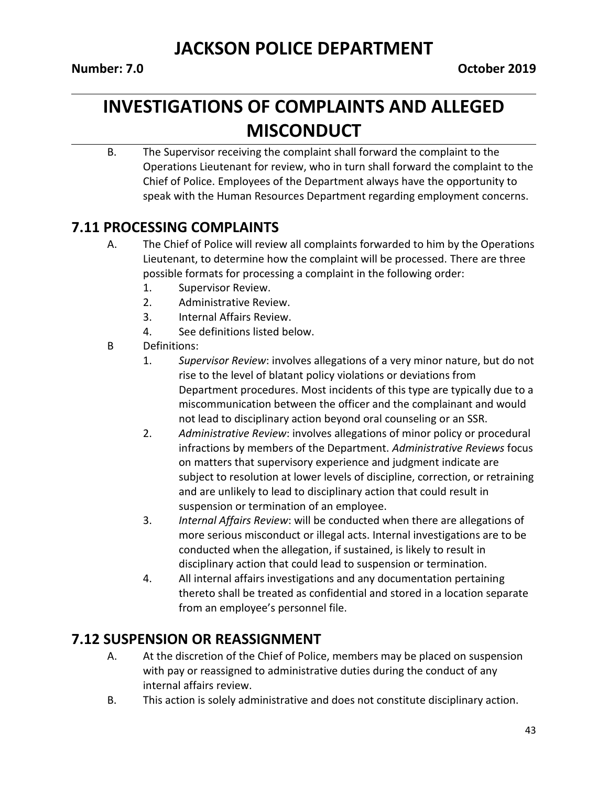# **INVESTIGATIONS OF COMPLAINTS AND ALLEGED MISCONDUCT**

B. The Supervisor receiving the complaint shall forward the complaint to the Operations Lieutenant for review, who in turn shall forward the complaint to the Chief of Police. Employees of the Department always have the opportunity to speak with the Human Resources Department regarding employment concerns.

## **7.11 PROCESSING COMPLAINTS**

- A. The Chief of Police will review all complaints forwarded to him by the Operations Lieutenant, to determine how the complaint will be processed. There are three possible formats for processing a complaint in the following order:
	- 1. Supervisor Review.
	- 2. Administrative Review.
	- 3. Internal Affairs Review.
	- 4. See definitions listed below.
- B Definitions:
	- 1. *Supervisor Review*: involves allegations of a very minor nature, but do not rise to the level of blatant policy violations or deviations from Department procedures. Most incidents of this type are typically due to a miscommunication between the officer and the complainant and would not lead to disciplinary action beyond oral counseling or an SSR.
	- 2. *Administrative Review*: involves allegations of minor policy or procedural infractions by members of the Department. *Administrative Reviews* focus on matters that supervisory experience and judgment indicate are subject to resolution at lower levels of discipline, correction, or retraining and are unlikely to lead to disciplinary action that could result in suspension or termination of an employee.
	- 3. *Internal Affairs Review*: will be conducted when there are allegations of more serious misconduct or illegal acts. Internal investigations are to be conducted when the allegation, if sustained, is likely to result in disciplinary action that could lead to suspension or termination.
	- 4. All internal affairs investigations and any documentation pertaining thereto shall be treated as confidential and stored in a location separate from an employee's personnel file.

## **7.12 SUSPENSION OR REASSIGNMENT**

- A. At the discretion of the Chief of Police, members may be placed on suspension with pay or reassigned to administrative duties during the conduct of any internal affairs review.
- B. This action is solely administrative and does not constitute disciplinary action.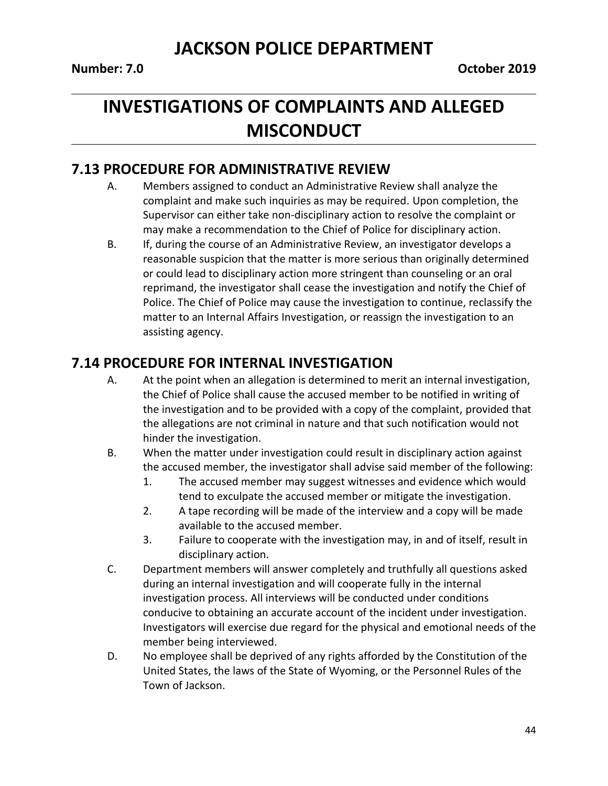# **INVESTIGATIONS OF COMPLAINTS AND ALLEGED MISCONDUCT**

#### **7.13 PROCEDURE FOR ADMINISTRATIVE REVIEW**

- A. Members assigned to conduct an Administrative Review shall analyze the complaint and make such inquiries as may be required. Upon completion, the Supervisor can either take non-disciplinary action to resolve the complaint or may make a recommendation to the Chief of Police for disciplinary action.
- B. If, during the course of an Administrative Review, an investigator develops a reasonable suspicion that the matter is more serious than originally determined or could lead to disciplinary action more stringent than counseling or an oral reprimand, the investigator shall cease the investigation and notify the Chief of Police. The Chief of Police may cause the investigation to continue, reclassify the matter to an Internal Affairs Investigation, or reassign the investigation to an assisting agency.

### **7.14 PROCEDURE FOR INTERNAL INVESTIGATION**

- A. At the point when an allegation is determined to merit an internal investigation, the Chief of Police shall cause the accused member to be notified in writing of the investigation and to be provided with a copy of the complaint, provided that the allegations are not criminal in nature and that such notification would not hinder the investigation.
- B. When the matter under investigation could result in disciplinary action against the accused member, the investigator shall advise said member of the following:
	- 1. The accused member may suggest witnesses and evidence which would tend to exculpate the accused member or mitigate the investigation.
	- 2. A tape recording will be made of the interview and a copy will be made available to the accused member.
	- 3. Failure to cooperate with the investigation may, in and of itself, result in disciplinary action.
- C. Department members will answer completely and truthfully all questions asked during an internal investigation and will cooperate fully in the internal investigation process. All interviews will be conducted under conditions conducive to obtaining an accurate account of the incident under investigation. Investigators will exercise due regard for the physical and emotional needs of the member being interviewed.
- D. No employee shall be deprived of any rights afforded by the Constitution of the United States, the laws of the State of Wyoming, or the Personnel Rules of the Town of Jackson.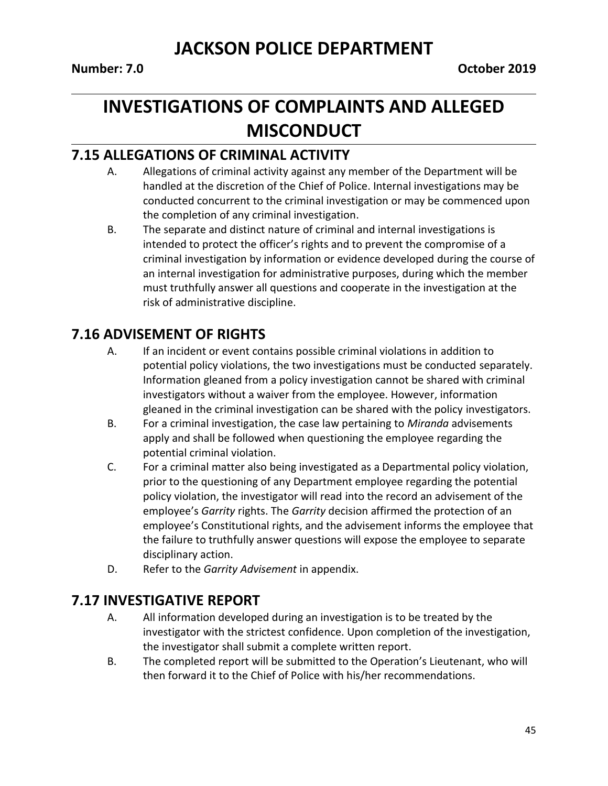# **INVESTIGATIONS OF COMPLAINTS AND ALLEGED MISCONDUCT**

### **7.15 ALLEGATIONS OF CRIMINAL ACTIVITY**

- A. Allegations of criminal activity against any member of the Department will be handled at the discretion of the Chief of Police. Internal investigations may be conducted concurrent to the criminal investigation or may be commenced upon the completion of any criminal investigation.
- B. The separate and distinct nature of criminal and internal investigations is intended to protect the officer's rights and to prevent the compromise of a criminal investigation by information or evidence developed during the course of an internal investigation for administrative purposes, during which the member must truthfully answer all questions and cooperate in the investigation at the risk of administrative discipline.

## **7.16 ADVISEMENT OF RIGHTS**

- A. If an incident or event contains possible criminal violations in addition to potential policy violations, the two investigations must be conducted separately. Information gleaned from a policy investigation cannot be shared with criminal investigators without a waiver from the employee. However, information gleaned in the criminal investigation can be shared with the policy investigators.
- B. For a criminal investigation, the case law pertaining to *Miranda* advisements apply and shall be followed when questioning the employee regarding the potential criminal violation.
- C. For a criminal matter also being investigated as a Departmental policy violation, prior to the questioning of any Department employee regarding the potential policy violation, the investigator will read into the record an advisement of the employee's *Garrity* rights. The *Garrity* decision affirmed the protection of an employee's Constitutional rights, and the advisement informs the employee that the failure to truthfully answer questions will expose the employee to separate disciplinary action.
- D. Refer to the *Garrity Advisement* in appendix.

## **7.17 INVESTIGATIVE REPORT**

- A. All information developed during an investigation is to be treated by the investigator with the strictest confidence. Upon completion of the investigation, the investigator shall submit a complete written report.
- B. The completed report will be submitted to the Operation's Lieutenant, who will then forward it to the Chief of Police with his/her recommendations.